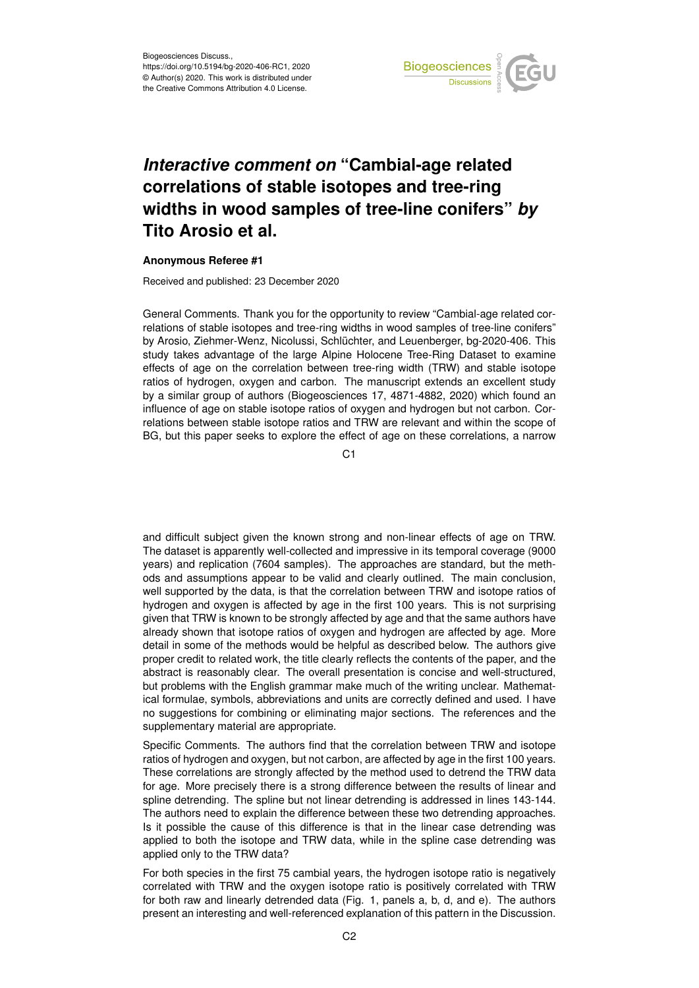

## *Interactive comment on* **"Cambial-age related correlations of stable isotopes and tree-ring widths in wood samples of tree-line conifers"** *by* **Tito Arosio et al.**

## **Anonymous Referee #1**

Received and published: 23 December 2020

General Comments. Thank you for the opportunity to review "Cambial-age related correlations of stable isotopes and tree-ring widths in wood samples of tree-line conifers" by Arosio, Ziehmer-Wenz, Nicolussi, Schlüchter, and Leuenberger, bg-2020-406. This study takes advantage of the large Alpine Holocene Tree-Ring Dataset to examine effects of age on the correlation between tree-ring width (TRW) and stable isotope ratios of hydrogen, oxygen and carbon. The manuscript extends an excellent study by a similar group of authors (Biogeosciences 17, 4871-4882, 2020) which found an influence of age on stable isotope ratios of oxygen and hydrogen but not carbon. Correlations between stable isotope ratios and TRW are relevant and within the scope of BG, but this paper seeks to explore the effect of age on these correlations, a narrow

C1

and difficult subject given the known strong and non-linear effects of age on TRW. The dataset is apparently well-collected and impressive in its temporal coverage (9000 years) and replication (7604 samples). The approaches are standard, but the methods and assumptions appear to be valid and clearly outlined. The main conclusion, well supported by the data, is that the correlation between TRW and isotope ratios of hydrogen and oxygen is affected by age in the first 100 years. This is not surprising given that TRW is known to be strongly affected by age and that the same authors have already shown that isotope ratios of oxygen and hydrogen are affected by age. More detail in some of the methods would be helpful as described below. The authors give proper credit to related work, the title clearly reflects the contents of the paper, and the abstract is reasonably clear. The overall presentation is concise and well-structured, but problems with the English grammar make much of the writing unclear. Mathematical formulae, symbols, abbreviations and units are correctly defined and used. I have no suggestions for combining or eliminating major sections. The references and the supplementary material are appropriate.

Specific Comments. The authors find that the correlation between TRW and isotope ratios of hydrogen and oxygen, but not carbon, are affected by age in the first 100 years. These correlations are strongly affected by the method used to detrend the TRW data for age. More precisely there is a strong difference between the results of linear and spline detrending. The spline but not linear detrending is addressed in lines 143-144. The authors need to explain the difference between these two detrending approaches. Is it possible the cause of this difference is that in the linear case detrending was applied to both the isotope and TRW data, while in the spline case detrending was applied only to the TRW data?

For both species in the first 75 cambial years, the hydrogen isotope ratio is negatively correlated with TRW and the oxygen isotope ratio is positively correlated with TRW for both raw and linearly detrended data (Fig. 1, panels a, b, d, and e). The authors present an interesting and well-referenced explanation of this pattern in the Discussion.